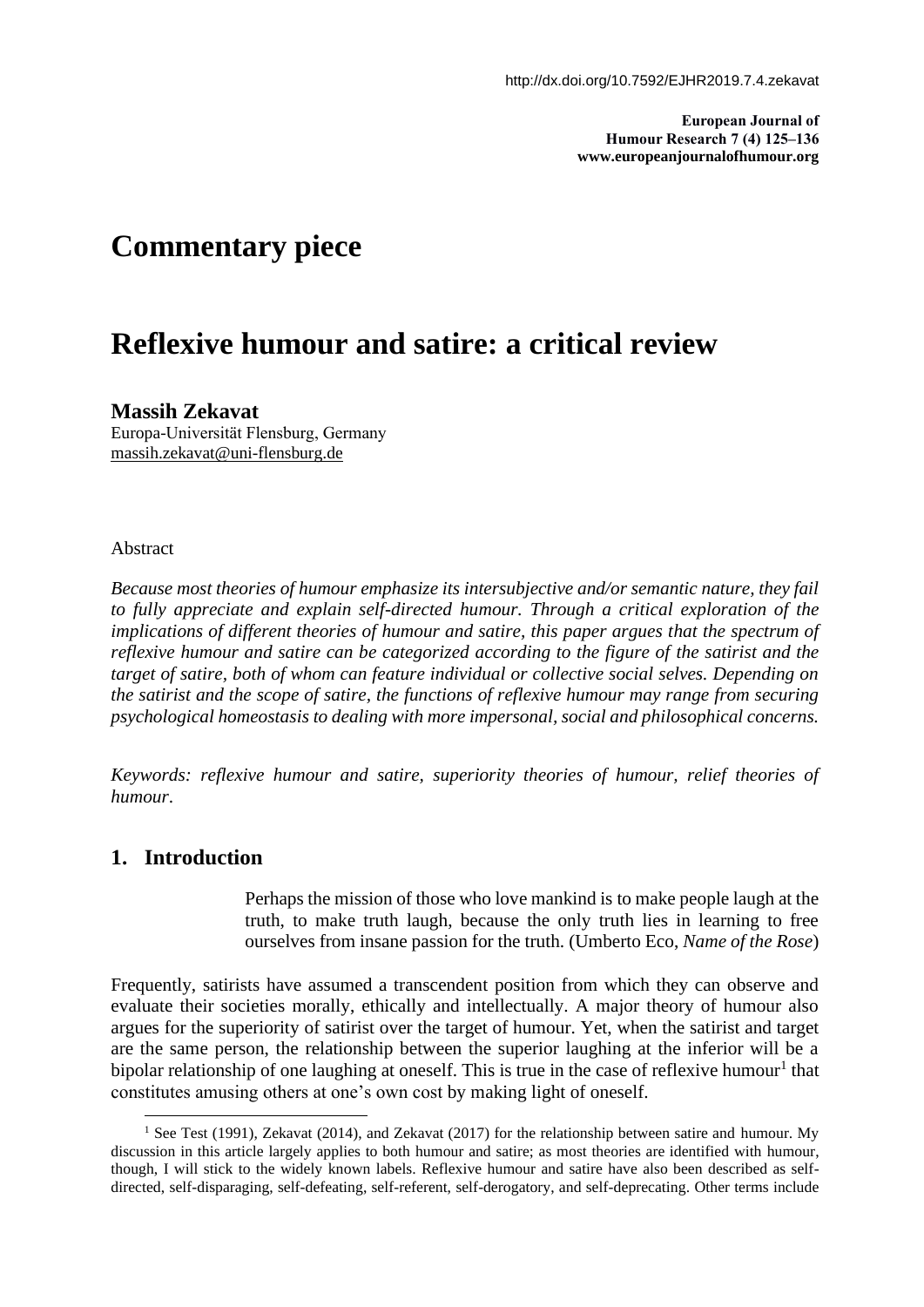**European Journal of Humour Research 7 (4) 125–136 www.europeanjournalofhumour.org**

# **Commentary piece**

# **Reflexive humour and satire: a critical review**

## **Massih Zekavat**

Europa-Universität Flensburg, Germany <massih.zekavat@uni-flensburg.de>

### Abstract

*Because most theories of humour emphasize its intersubjective and/or semantic nature, they fail to fully appreciate and explain self-directed humour. Through a critical exploration of the implications of different theories of humour and satire, this paper argues that the spectrum of reflexive humour and satire can be categorized according to the figure of the satirist and the target of satire, both of whom can feature individual or collective social selves. Depending on the satirist and the scope of satire, the functions of reflexive humour may range from securing psychological homeostasis to dealing with more impersonal, social and philosophical concerns.*

*Keywords: reflexive humour and satire, superiority theories of humour, relief theories of humour*.

## **1. Introduction**

Perhaps the mission of those who love mankind is to make people laugh at the truth, to make truth laugh, because the only truth lies in learning to free ourselves from insane passion for the truth. (Umberto Eco, *Name of the Rose*)

Frequently, satirists have assumed a transcendent position from which they can observe and evaluate their societies morally, ethically and intellectually. A major theory of humour also argues for the superiority of satirist over the target of humour. Yet, when the satirist and target are the same person, the relationship between the superior laughing at the inferior will be a bipolar relationship of one laughing at oneself. This is true in the case of reflexive humour<sup>1</sup> that constitutes amusing others at one's own cost by making light of oneself.

<sup>&</sup>lt;sup>1</sup> See Test (1991), Zekavat (2014), and Zekavat (2017) for the relationship between satire and humour. My discussion in this article largely applies to both humour and satire; as most theories are identified with humour, though, I will stick to the widely known labels. Reflexive humour and satire have also been described as selfdirected, self-disparaging, self-defeating, self-referent, self-derogatory, and self-deprecating. Other terms include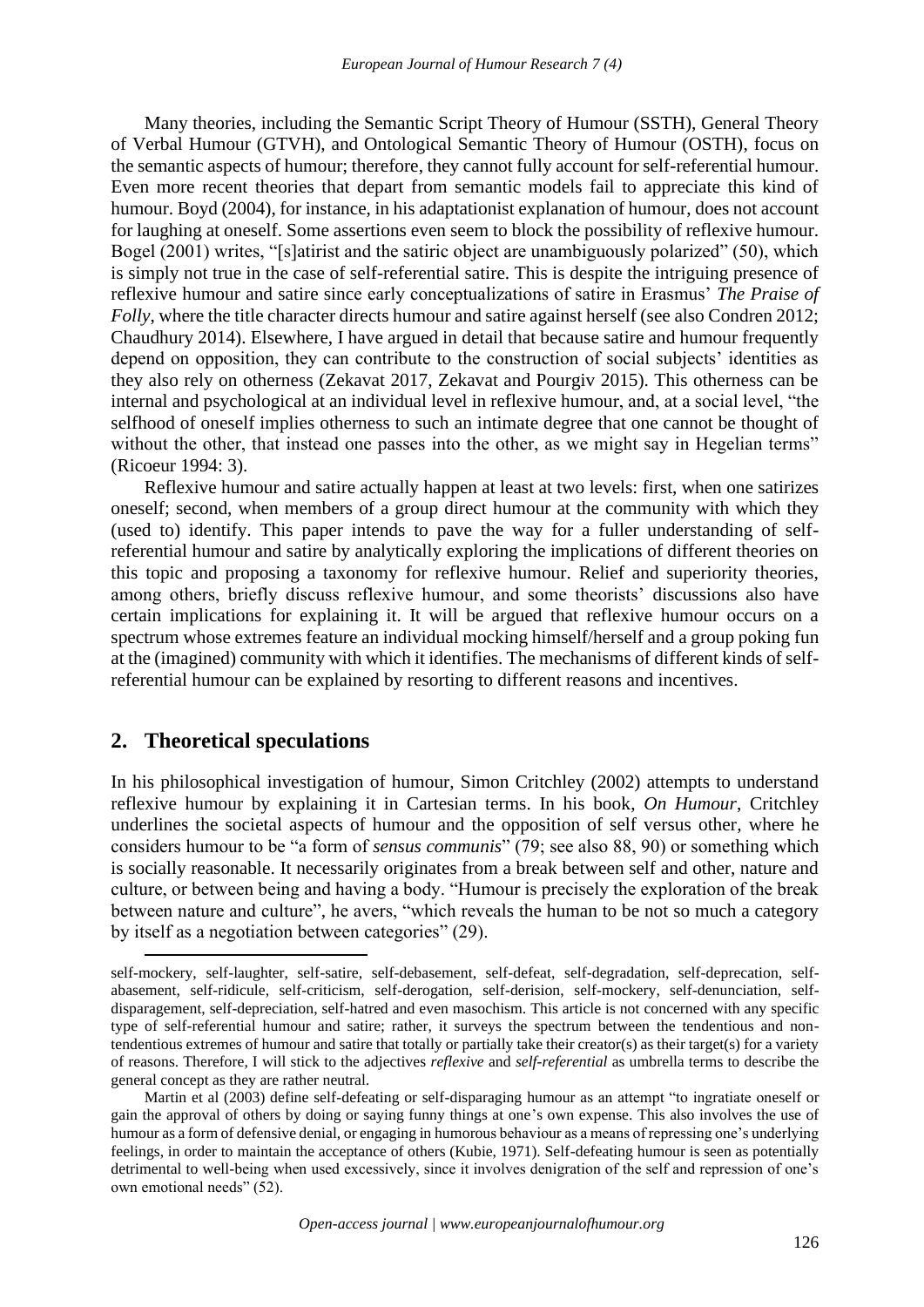Many theories, including the Semantic Script Theory of Humour (SSTH), General Theory of Verbal Humour (GTVH), and Ontological Semantic Theory of Humour (OSTH), focus on the semantic aspects of humour; therefore, they cannot fully account for self-referential humour. Even more recent theories that depart from semantic models fail to appreciate this kind of humour. Boyd (2004), for instance, in his adaptationist explanation of humour, does not account for laughing at oneself. Some assertions even seem to block the possibility of reflexive humour. Bogel (2001) writes, "[s]atirist and the satiric object are unambiguously polarized" (50), which is simply not true in the case of self-referential satire. This is despite the intriguing presence of reflexive humour and satire since early conceptualizations of satire in Erasmus' *The Praise of Folly*, where the title character directs humour and satire against herself (see also Condren 2012; Chaudhury 2014). Elsewhere, I have argued in detail that because satire and humour frequently depend on opposition, they can contribute to the construction of social subjects' identities as they also rely on otherness (Zekavat 2017, Zekavat and Pourgiv 2015). This otherness can be internal and psychological at an individual level in reflexive humour, and, at a social level, "the selfhood of oneself implies otherness to such an intimate degree that one cannot be thought of without the other, that instead one passes into the other, as we might say in Hegelian terms" (Ricoeur 1994: 3).

Reflexive humour and satire actually happen at least at two levels: first, when one satirizes oneself; second, when members of a group direct humour at the community with which they (used to) identify. This paper intends to pave the way for a fuller understanding of selfreferential humour and satire by analytically exploring the implications of different theories on this topic and proposing a taxonomy for reflexive humour. Relief and superiority theories, among others, briefly discuss reflexive humour, and some theorists' discussions also have certain implications for explaining it. It will be argued that reflexive humour occurs on a spectrum whose extremes feature an individual mocking himself/herself and a group poking fun at the (imagined) community with which it identifies. The mechanisms of different kinds of selfreferential humour can be explained by resorting to different reasons and incentives.

### **2. Theoretical speculations**

In his philosophical investigation of humour, Simon Critchley (2002) attempts to understand reflexive humour by explaining it in Cartesian terms. In his book, *On Humour*, Critchley underlines the societal aspects of humour and the opposition of self versus other*,* where he considers humour to be "a form of *sensus communis*" (79; see also 88, 90) or something which is socially reasonable. It necessarily originates from a break between self and other, nature and culture, or between being and having a body. "Humour is precisely the exploration of the break between nature and culture", he avers, "which reveals the human to be not so much a category by itself as a negotiation between categories" (29).

self-mockery, self-laughter, self-satire, self-debasement, self-defeat, self-degradation, self-deprecation, selfabasement, self-ridicule, self-criticism, self-derogation, self-derision, self-mockery, self-denunciation, selfdisparagement, self-depreciation, self-hatred and even masochism. This article is not concerned with any specific type of self-referential humour and satire; rather, it surveys the spectrum between the tendentious and nontendentious extremes of humour and satire that totally or partially take their creator(s) as their target(s) for a variety of reasons. Therefore, I will stick to the adjectives *reflexive* and *self-referential* as umbrella terms to describe the general concept as they are rather neutral.

Martin et al (2003) define self-defeating or self-disparaging humour as an attempt "to ingratiate oneself or gain the approval of others by doing or saying funny things at one's own expense. This also involves the use of humour as a form of defensive denial, or engaging in humorous behaviour as a means of repressing one's underlying feelings, in order to maintain the acceptance of others (Kubie, 1971). Self-defeating humour is seen as potentially detrimental to well-being when used excessively, since it involves denigration of the self and repression of one's own emotional needs" (52).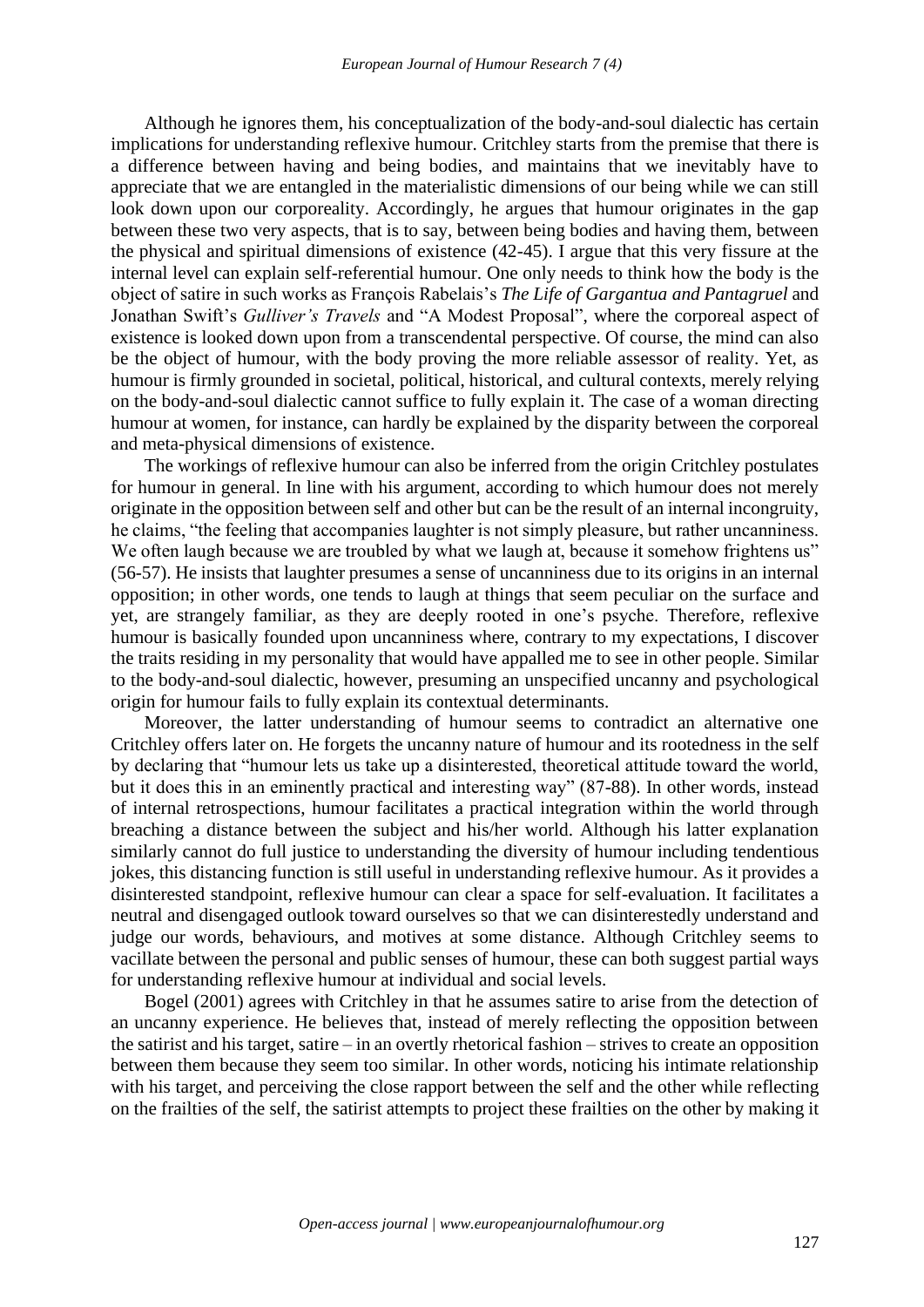Although he ignores them, his conceptualization of the body-and-soul dialectic has certain implications for understanding reflexive humour. Critchley starts from the premise that there is a difference between having and being bodies, and maintains that we inevitably have to appreciate that we are entangled in the materialistic dimensions of our being while we can still look down upon our corporeality. Accordingly, he argues that humour originates in the gap between these two very aspects, that is to say, between being bodies and having them, between the physical and spiritual dimensions of existence (42-45). I argue that this very fissure at the internal level can explain self-referential humour. One only needs to think how the body is the object of satire in such works as François Rabelais's *The Life of Gargantua and Pantagruel* and Jonathan Swift's *Gulliver's Travels* and "A Modest Proposal", where the corporeal aspect of existence is looked down upon from a transcendental perspective. Of course, the mind can also be the object of humour, with the body proving the more reliable assessor of reality. Yet, as humour is firmly grounded in societal, political, historical, and cultural contexts, merely relying on the body-and-soul dialectic cannot suffice to fully explain it. The case of a woman directing humour at women, for instance, can hardly be explained by the disparity between the corporeal and meta-physical dimensions of existence.

The workings of reflexive humour can also be inferred from the origin Critchley postulates for humour in general. In line with his argument, according to which humour does not merely originate in the opposition between self and other but can be the result of an internal incongruity, he claims, "the feeling that accompanies laughter is not simply pleasure, but rather uncanniness. We often laugh because we are troubled by what we laugh at, because it somehow frightens us" (56-57). He insists that laughter presumes a sense of uncanniness due to its origins in an internal opposition; in other words, one tends to laugh at things that seem peculiar on the surface and yet, are strangely familiar, as they are deeply rooted in one's psyche. Therefore, reflexive humour is basically founded upon uncanniness where, contrary to my expectations, I discover the traits residing in my personality that would have appalled me to see in other people. Similar to the body-and-soul dialectic, however, presuming an unspecified uncanny and psychological origin for humour fails to fully explain its contextual determinants.

Moreover, the latter understanding of humour seems to contradict an alternative one Critchley offers later on. He forgets the uncanny nature of humour and its rootedness in the self by declaring that "humour lets us take up a disinterested, theoretical attitude toward the world, but it does this in an eminently practical and interesting way" (87-88). In other words, instead of internal retrospections, humour facilitates a practical integration within the world through breaching a distance between the subject and his/her world. Although his latter explanation similarly cannot do full justice to understanding the diversity of humour including tendentious jokes, this distancing function is still useful in understanding reflexive humour. As it provides a disinterested standpoint, reflexive humour can clear a space for self-evaluation. It facilitates a neutral and disengaged outlook toward ourselves so that we can disinterestedly understand and judge our words, behaviours, and motives at some distance. Although Critchley seems to vacillate between the personal and public senses of humour, these can both suggest partial ways for understanding reflexive humour at individual and social levels.

Bogel (2001) agrees with Critchley in that he assumes satire to arise from the detection of an uncanny experience. He believes that, instead of merely reflecting the opposition between the satirist and his target, satire – in an overtly rhetorical fashion – strives to create an opposition between them because they seem too similar. In other words, noticing his intimate relationship with his target, and perceiving the close rapport between the self and the other while reflecting on the frailties of the self, the satirist attempts to project these frailties on the other by making it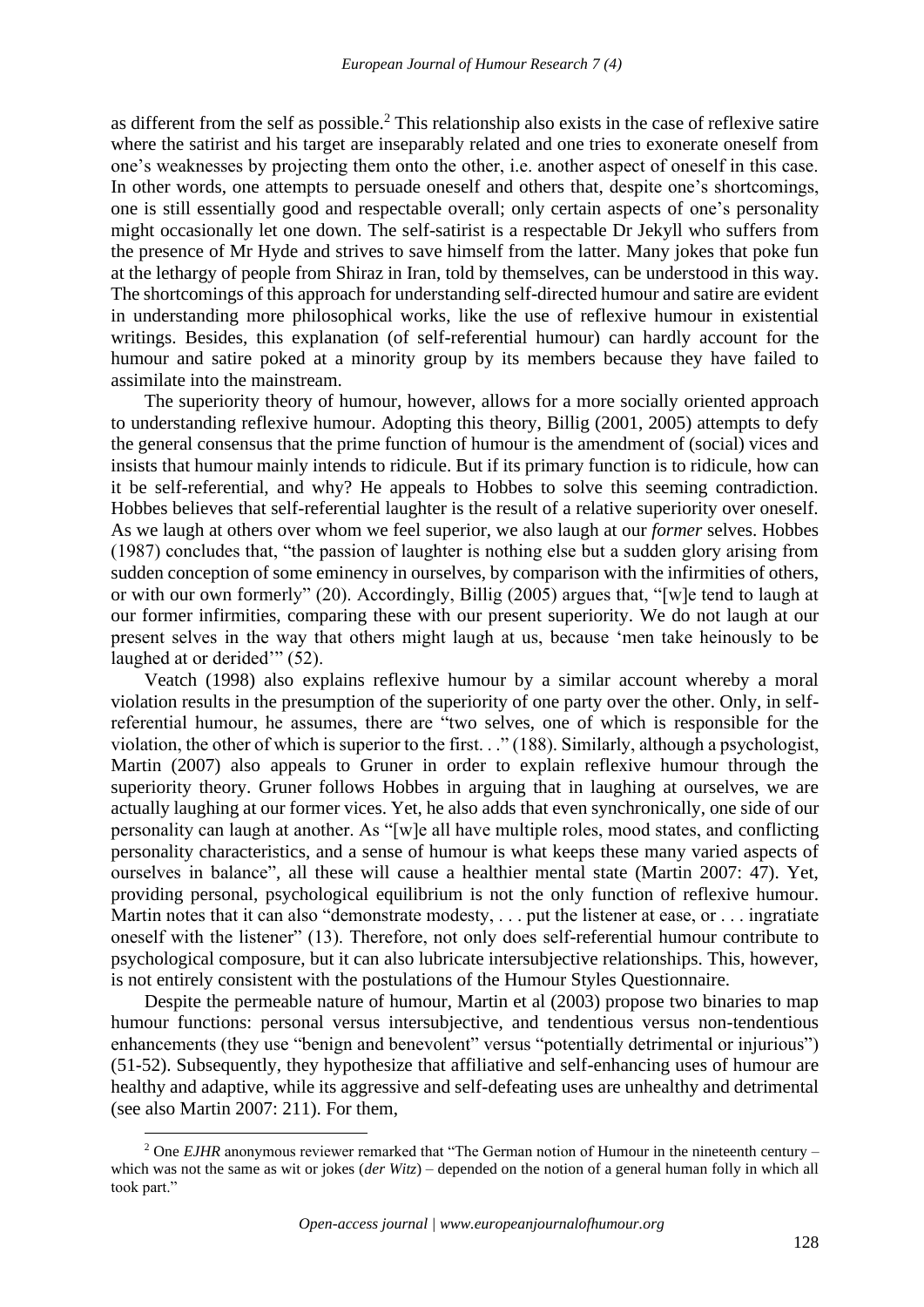as different from the self as possible.<sup>2</sup> This relationship also exists in the case of reflexive satire where the satirist and his target are inseparably related and one tries to exonerate oneself from one's weaknesses by projecting them onto the other, i.e. another aspect of oneself in this case. In other words, one attempts to persuade oneself and others that, despite one's shortcomings, one is still essentially good and respectable overall; only certain aspects of one's personality might occasionally let one down. The self-satirist is a respectable Dr Jekyll who suffers from the presence of Mr Hyde and strives to save himself from the latter. Many jokes that poke fun at the lethargy of people from Shiraz in Iran, told by themselves, can be understood in this way. The shortcomings of this approach for understanding self-directed humour and satire are evident in understanding more philosophical works, like the use of reflexive humour in existential writings. Besides, this explanation (of self-referential humour) can hardly account for the humour and satire poked at a minority group by its members because they have failed to assimilate into the mainstream.

The superiority theory of humour, however, allows for a more socially oriented approach to understanding reflexive humour. Adopting this theory, Billig (2001, 2005) attempts to defy the general consensus that the prime function of humour is the amendment of (social) vices and insists that humour mainly intends to ridicule. But if its primary function is to ridicule, how can it be self-referential, and why? He appeals to Hobbes to solve this seeming contradiction. Hobbes believes that self-referential laughter is the result of a relative superiority over oneself. As we laugh at others over whom we feel superior, we also laugh at our *former* selves. Hobbes (1987) concludes that, "the passion of laughter is nothing else but a sudden glory arising from sudden conception of some eminency in ourselves, by comparison with the infirmities of others, or with our own formerly" (20). Accordingly, Billig (2005) argues that, "[w]e tend to laugh at our former infirmities, comparing these with our present superiority. We do not laugh at our present selves in the way that others might laugh at us, because 'men take heinously to be laughed at or derided'" (52).

Veatch (1998) also explains reflexive humour by a similar account whereby a moral violation results in the presumption of the superiority of one party over the other. Only, in selfreferential humour, he assumes, there are "two selves, one of which is responsible for the violation, the other of which is superior to the first. . ." (188). Similarly, although a psychologist, Martin (2007) also appeals to Gruner in order to explain reflexive humour through the superiority theory. Gruner follows Hobbes in arguing that in laughing at ourselves, we are actually laughing at our former vices. Yet, he also adds that even synchronically, one side of our personality can laugh at another. As "[w]e all have multiple roles, mood states, and conflicting personality characteristics, and a sense of humour is what keeps these many varied aspects of ourselves in balance", all these will cause a healthier mental state (Martin 2007: 47). Yet, providing personal, psychological equilibrium is not the only function of reflexive humour. Martin notes that it can also "demonstrate modesty, . . . put the listener at ease, or . . . ingratiate oneself with the listener" (13). Therefore, not only does self-referential humour contribute to psychological composure, but it can also lubricate intersubjective relationships. This, however, is not entirely consistent with the postulations of the Humour Styles Questionnaire.

Despite the permeable nature of humour, Martin et al (2003) propose two binaries to map humour functions: personal versus intersubjective, and tendentious versus non-tendentious enhancements (they use "benign and benevolent" versus "potentially detrimental or injurious") (51-52). Subsequently, they hypothesize that affiliative and self-enhancing uses of humour are healthy and adaptive, while its aggressive and self-defeating uses are unhealthy and detrimental (see also Martin 2007: 211). For them,

<sup>&</sup>lt;sup>2</sup> One *EJHR* anonymous reviewer remarked that "The German notion of Humour in the nineteenth century – which was not the same as wit or jokes (*der Witz*) – depended on the notion of a general human folly in which all took part."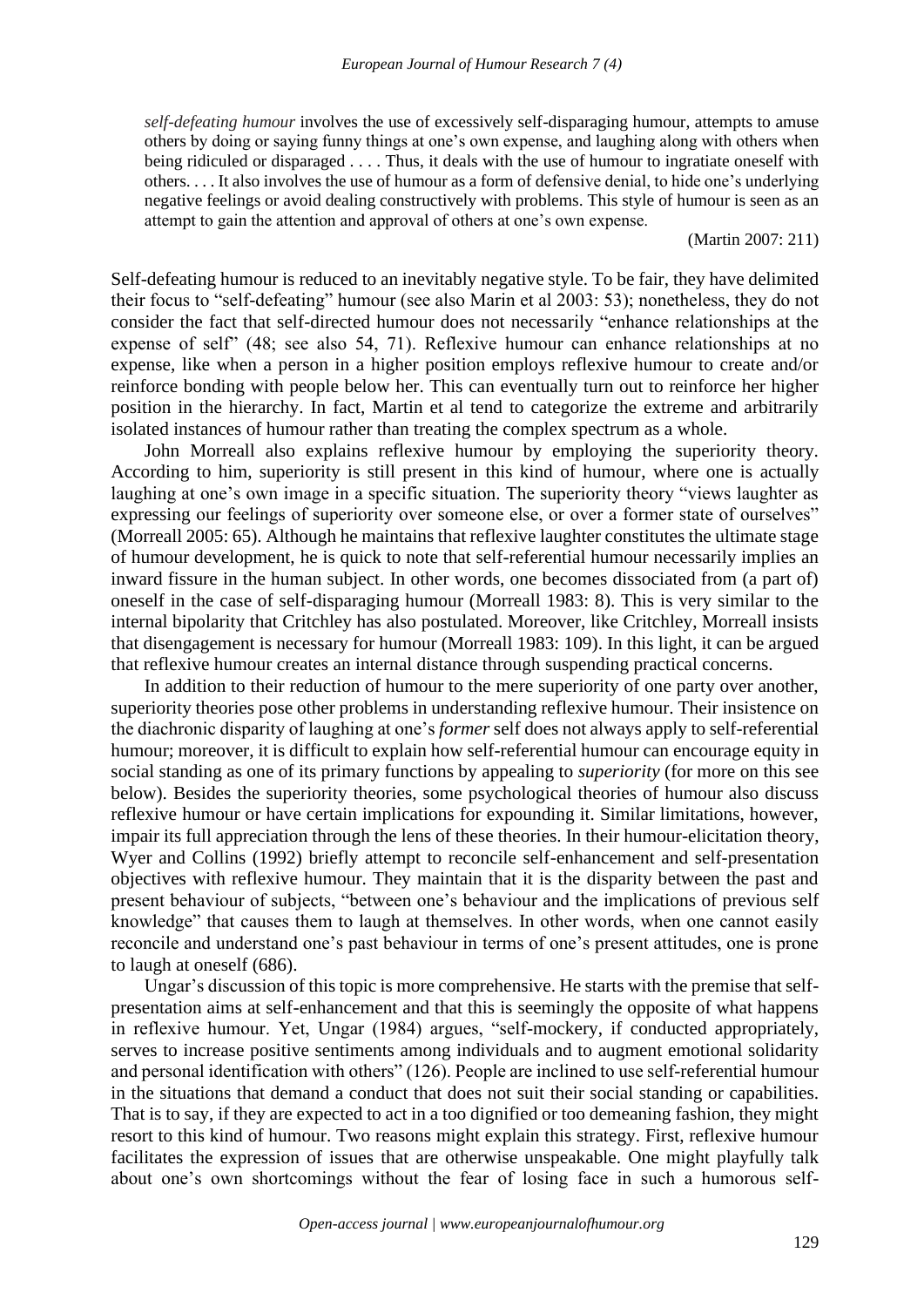*self-defeating humour* involves the use of excessively self-disparaging humour, attempts to amuse others by doing or saying funny things at one's own expense, and laughing along with others when being ridiculed or disparaged . . . . Thus, it deals with the use of humour to ingratiate oneself with others. . . . It also involves the use of humour as a form of defensive denial, to hide one's underlying negative feelings or avoid dealing constructively with problems. This style of humour is seen as an attempt to gain the attention and approval of others at one's own expense.

(Martin 2007: 211)

Self-defeating humour is reduced to an inevitably negative style. To be fair, they have delimited their focus to "self-defeating" humour (see also Marin et al 2003: 53); nonetheless, they do not consider the fact that self-directed humour does not necessarily "enhance relationships at the expense of self" (48; see also 54, 71). Reflexive humour can enhance relationships at no expense, like when a person in a higher position employs reflexive humour to create and/or reinforce bonding with people below her. This can eventually turn out to reinforce her higher position in the hierarchy. In fact, Martin et al tend to categorize the extreme and arbitrarily isolated instances of humour rather than treating the complex spectrum as a whole.

John Morreall also explains reflexive humour by employing the superiority theory. According to him, superiority is still present in this kind of humour, where one is actually laughing at one's own image in a specific situation. The superiority theory "views laughter as expressing our feelings of superiority over someone else, or over a former state of ourselves" (Morreall 2005: 65). Although he maintains that reflexive laughter constitutes the ultimate stage of humour development, he is quick to note that self-referential humour necessarily implies an inward fissure in the human subject. In other words, one becomes dissociated from (a part of) oneself in the case of self-disparaging humour (Morreall 1983: 8). This is very similar to the internal bipolarity that Critchley has also postulated. Moreover, like Critchley, Morreall insists that disengagement is necessary for humour (Morreall 1983: 109). In this light, it can be argued that reflexive humour creates an internal distance through suspending practical concerns.

In addition to their reduction of humour to the mere superiority of one party over another, superiority theories pose other problems in understanding reflexive humour. Their insistence on the diachronic disparity of laughing at one's *former* self does not always apply to self-referential humour; moreover, it is difficult to explain how self-referential humour can encourage equity in social standing as one of its primary functions by appealing to *superiority* (for more on this see below). Besides the superiority theories, some psychological theories of humour also discuss reflexive humour or have certain implications for expounding it. Similar limitations, however, impair its full appreciation through the lens of these theories. In their humour-elicitation theory, Wyer and Collins (1992) briefly attempt to reconcile self-enhancement and self-presentation objectives with reflexive humour. They maintain that it is the disparity between the past and present behaviour of subjects, "between one's behaviour and the implications of previous self knowledge" that causes them to laugh at themselves. In other words, when one cannot easily reconcile and understand one's past behaviour in terms of one's present attitudes, one is prone to laugh at oneself (686).

Ungar's discussion of this topic is more comprehensive. He starts with the premise that selfpresentation aims at self-enhancement and that this is seemingly the opposite of what happens in reflexive humour. Yet, Ungar (1984) argues, "self-mockery, if conducted appropriately, serves to increase positive sentiments among individuals and to augment emotional solidarity and personal identification with others" (126). People are inclined to use self-referential humour in the situations that demand a conduct that does not suit their social standing or capabilities. That is to say, if they are expected to act in a too dignified or too demeaning fashion, they might resort to this kind of humour. Two reasons might explain this strategy. First, reflexive humour facilitates the expression of issues that are otherwise unspeakable. One might playfully talk about one's own shortcomings without the fear of losing face in such a humorous self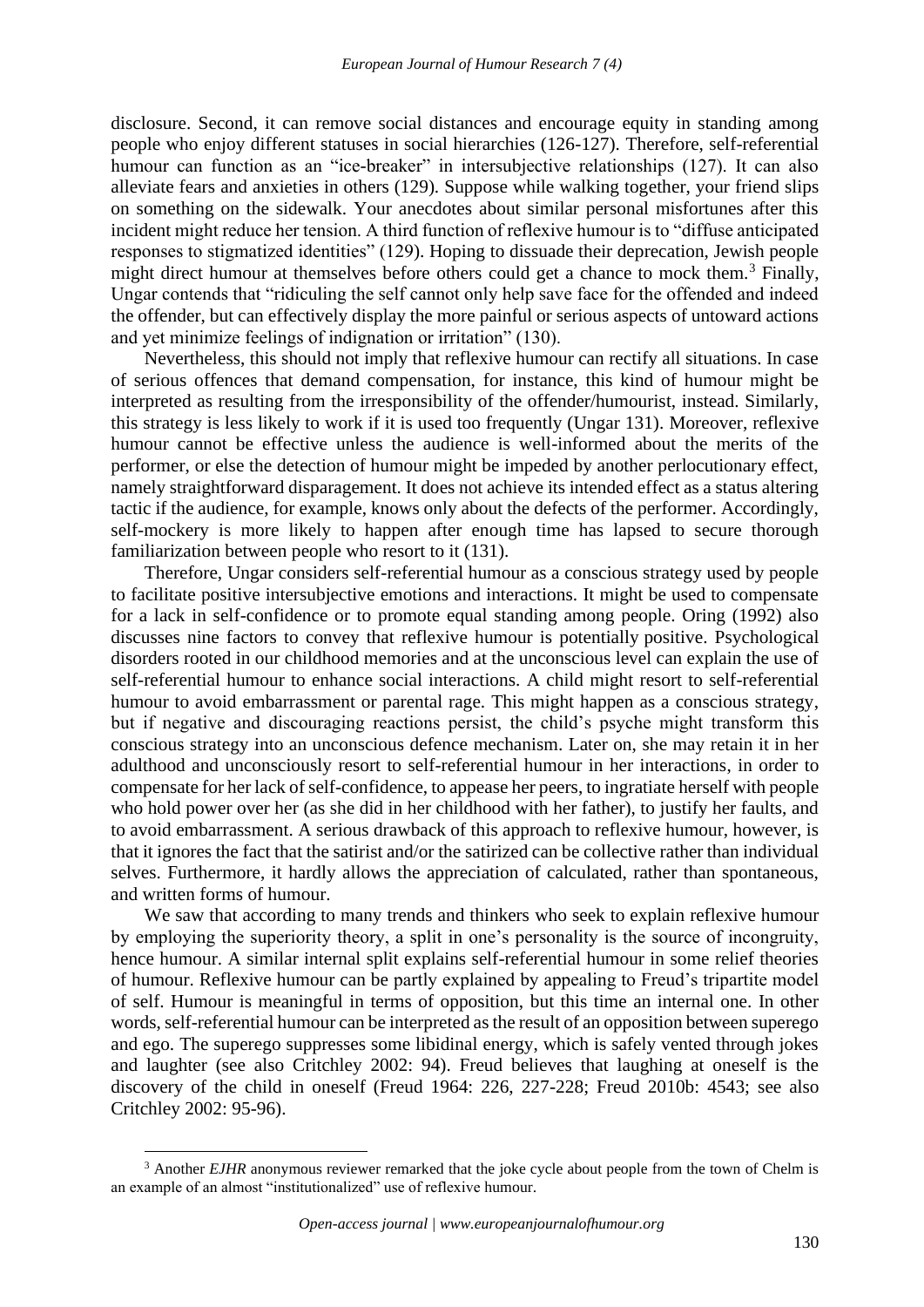disclosure. Second, it can remove social distances and encourage equity in standing among people who enjoy different statuses in social hierarchies (126-127). Therefore, self-referential humour can function as an "ice-breaker" in intersubjective relationships (127). It can also alleviate fears and anxieties in others (129). Suppose while walking together, your friend slips on something on the sidewalk. Your anecdotes about similar personal misfortunes after this incident might reduce her tension. A third function of reflexive humour is to "diffuse anticipated responses to stigmatized identities" (129). Hoping to dissuade their deprecation, Jewish people might direct humour at themselves before others could get a chance to mock them.<sup>3</sup> Finally, Ungar contends that "ridiculing the self cannot only help save face for the offended and indeed the offender, but can effectively display the more painful or serious aspects of untoward actions and yet minimize feelings of indignation or irritation" (130).

Nevertheless, this should not imply that reflexive humour can rectify all situations. In case of serious offences that demand compensation, for instance, this kind of humour might be interpreted as resulting from the irresponsibility of the offender/humourist, instead. Similarly, this strategy is less likely to work if it is used too frequently (Ungar 131). Moreover, reflexive humour cannot be effective unless the audience is well-informed about the merits of the performer, or else the detection of humour might be impeded by another perlocutionary effect, namely straightforward disparagement. It does not achieve its intended effect as a status altering tactic if the audience, for example, knows only about the defects of the performer. Accordingly, self-mockery is more likely to happen after enough time has lapsed to secure thorough familiarization between people who resort to it (131).

Therefore, Ungar considers self-referential humour as a conscious strategy used by people to facilitate positive intersubjective emotions and interactions. It might be used to compensate for a lack in self-confidence or to promote equal standing among people. Oring (1992) also discusses nine factors to convey that reflexive humour is potentially positive. Psychological disorders rooted in our childhood memories and at the unconscious level can explain the use of self-referential humour to enhance social interactions. A child might resort to self-referential humour to avoid embarrassment or parental rage. This might happen as a conscious strategy, but if negative and discouraging reactions persist, the child's psyche might transform this conscious strategy into an unconscious defence mechanism. Later on, she may retain it in her adulthood and unconsciously resort to self-referential humour in her interactions, in order to compensate for her lack of self-confidence, to appease her peers, to ingratiate herself with people who hold power over her (as she did in her childhood with her father), to justify her faults, and to avoid embarrassment. A serious drawback of this approach to reflexive humour, however, is that it ignores the fact that the satirist and/or the satirized can be collective rather than individual selves. Furthermore, it hardly allows the appreciation of calculated, rather than spontaneous, and written forms of humour.

We saw that according to many trends and thinkers who seek to explain reflexive humour by employing the superiority theory, a split in one's personality is the source of incongruity, hence humour. A similar internal split explains self-referential humour in some relief theories of humour. Reflexive humour can be partly explained by appealing to Freud's tripartite model of self. Humour is meaningful in terms of opposition, but this time an internal one. In other words, self-referential humour can be interpreted as the result of an opposition between superego and ego. The superego suppresses some libidinal energy, which is safely vented through jokes and laughter (see also Critchley 2002: 94). Freud believes that laughing at oneself is the discovery of the child in oneself (Freud 1964: 226, 227-228; Freud 2010b: 4543; see also Critchley 2002: 95-96).

<sup>&</sup>lt;sup>3</sup> Another *EJHR* anonymous reviewer remarked that the joke cycle about people from the town of Chelm is an example of an almost "institutionalized" use of reflexive humour.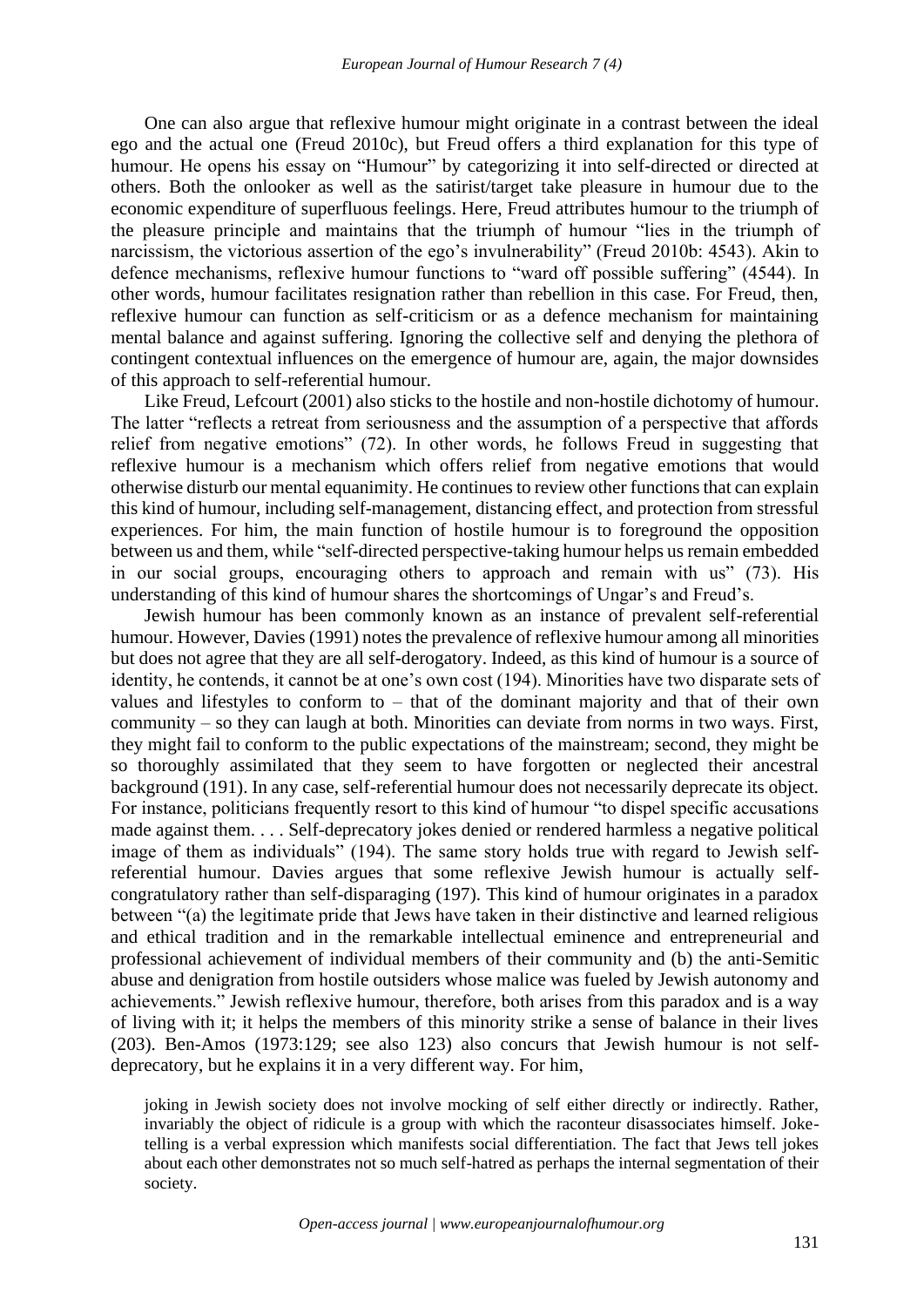One can also argue that reflexive humour might originate in a contrast between the ideal ego and the actual one (Freud 2010c), but Freud offers a third explanation for this type of humour. He opens his essay on "Humour" by categorizing it into self-directed or directed at others. Both the onlooker as well as the satirist/target take pleasure in humour due to the economic expenditure of superfluous feelings. Here, Freud attributes humour to the triumph of the pleasure principle and maintains that the triumph of humour "lies in the triumph of narcissism, the victorious assertion of the ego's invulnerability" (Freud 2010b: 4543). Akin to defence mechanisms, reflexive humour functions to "ward off possible suffering" (4544). In other words, humour facilitates resignation rather than rebellion in this case. For Freud, then, reflexive humour can function as self-criticism or as a defence mechanism for maintaining mental balance and against suffering. Ignoring the collective self and denying the plethora of contingent contextual influences on the emergence of humour are, again, the major downsides of this approach to self-referential humour.

Like Freud, Lefcourt (2001) also sticks to the hostile and non-hostile dichotomy of humour. The latter "reflects a retreat from seriousness and the assumption of a perspective that affords relief from negative emotions" (72). In other words, he follows Freud in suggesting that reflexive humour is a mechanism which offers relief from negative emotions that would otherwise disturb our mental equanimity. He continues to review other functions that can explain this kind of humour, including self-management, distancing effect, and protection from stressful experiences. For him, the main function of hostile humour is to foreground the opposition between us and them, while "self-directed perspective-taking humour helps us remain embedded in our social groups, encouraging others to approach and remain with us" (73). His understanding of this kind of humour shares the shortcomings of Ungar's and Freud's.

Jewish humour has been commonly known as an instance of prevalent self-referential humour. However, Davies (1991) notes the prevalence of reflexive humour among all minorities but does not agree that they are all self-derogatory. Indeed, as this kind of humour is a source of identity, he contends, it cannot be at one's own cost (194). Minorities have two disparate sets of values and lifestyles to conform to – that of the dominant majority and that of their own community – so they can laugh at both. Minorities can deviate from norms in two ways. First, they might fail to conform to the public expectations of the mainstream; second, they might be so thoroughly assimilated that they seem to have forgotten or neglected their ancestral background (191). In any case, self-referential humour does not necessarily deprecate its object. For instance, politicians frequently resort to this kind of humour "to dispel specific accusations made against them. . . . Self-deprecatory jokes denied or rendered harmless a negative political image of them as individuals" (194). The same story holds true with regard to Jewish selfreferential humour. Davies argues that some reflexive Jewish humour is actually selfcongratulatory rather than self-disparaging (197). This kind of humour originates in a paradox between "(a) the legitimate pride that Jews have taken in their distinctive and learned religious and ethical tradition and in the remarkable intellectual eminence and entrepreneurial and professional achievement of individual members of their community and (b) the anti-Semitic abuse and denigration from hostile outsiders whose malice was fueled by Jewish autonomy and achievements." Jewish reflexive humour, therefore, both arises from this paradox and is a way of living with it; it helps the members of this minority strike a sense of balance in their lives (203). Ben-Amos (1973:129; see also 123) also concurs that Jewish humour is not selfdeprecatory, but he explains it in a very different way. For him,

joking in Jewish society does not involve mocking of self either directly or indirectly. Rather, invariably the object of ridicule is a group with which the raconteur disassociates himself. Joketelling is a verbal expression which manifests social differentiation. The fact that Jews tell jokes about each other demonstrates not so much self-hatred as perhaps the internal segmentation of their society.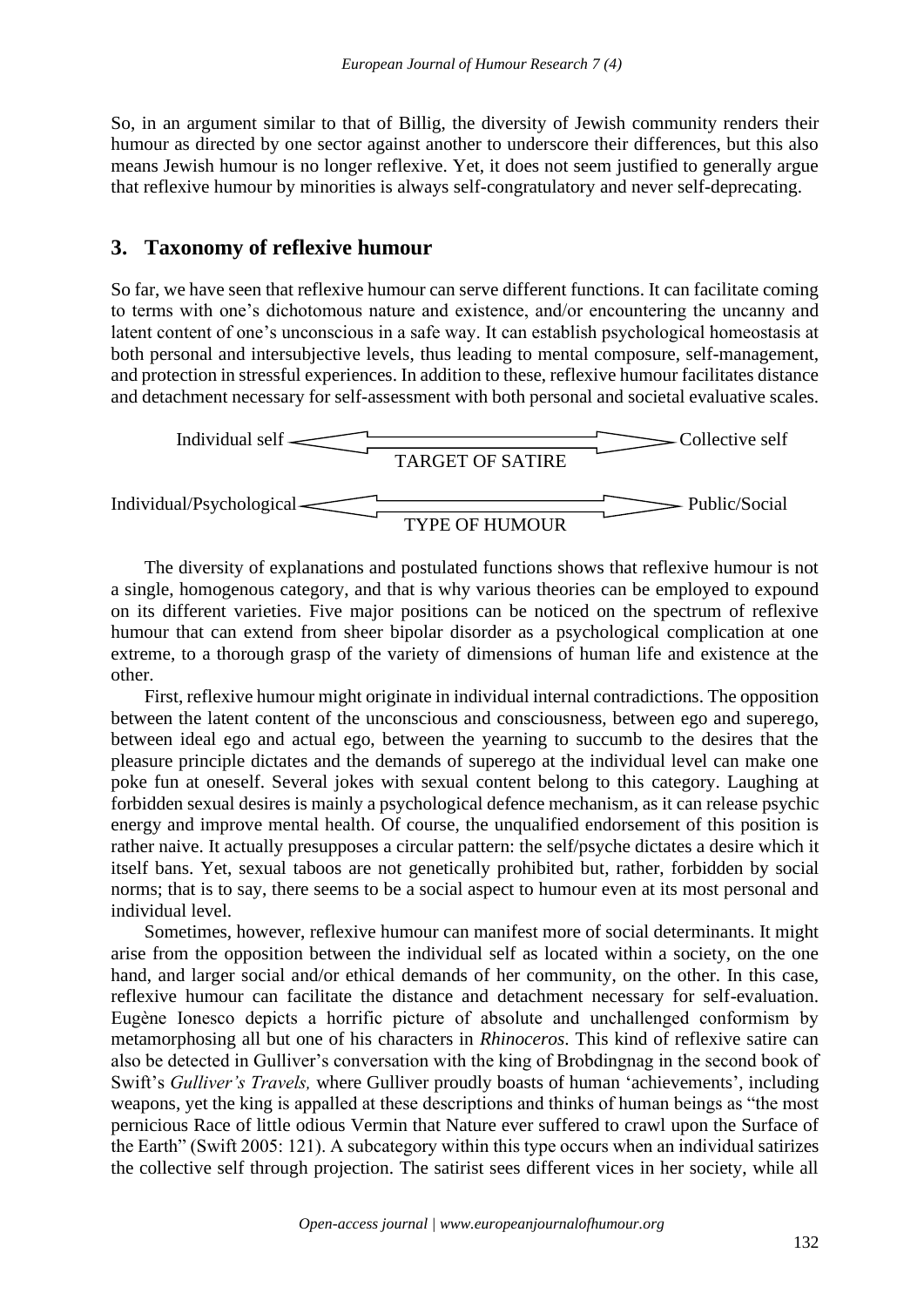So, in an argument similar to that of Billig, the diversity of Jewish community renders their humour as directed by one sector against another to underscore their differences, but this also means Jewish humour is no longer reflexive. Yet, it does not seem justified to generally argue that reflexive humour by minorities is always self-congratulatory and never self-deprecating.

## **3. Taxonomy of reflexive humour**

So far, we have seen that reflexive humour can serve different functions. It can facilitate coming to terms with one's dichotomous nature and existence, and/or encountering the uncanny and latent content of one's unconscious in a safe way. It can establish psychological homeostasis at both personal and intersubjective levels, thus leading to mental composure, self-management, and protection in stressful experiences. In addition to these, reflexive humour facilitates distance and detachment necessary for self-assessment with both personal and societal evaluative scales.



The diversity of explanations and postulated functions shows that reflexive humour is not a single, homogenous category, and that is why various theories can be employed to expound on its different varieties. Five major positions can be noticed on the spectrum of reflexive humour that can extend from sheer bipolar disorder as a psychological complication at one extreme, to a thorough grasp of the variety of dimensions of human life and existence at the other.

First, reflexive humour might originate in individual internal contradictions. The opposition between the latent content of the unconscious and consciousness, between ego and superego, between ideal ego and actual ego, between the yearning to succumb to the desires that the pleasure principle dictates and the demands of superego at the individual level can make one poke fun at oneself. Several jokes with sexual content belong to this category. Laughing at forbidden sexual desires is mainly a psychological defence mechanism, as it can release psychic energy and improve mental health. Of course, the unqualified endorsement of this position is rather naive. It actually presupposes a circular pattern: the self/psyche dictates a desire which it itself bans. Yet, sexual taboos are not genetically prohibited but, rather, forbidden by social norms; that is to say, there seems to be a social aspect to humour even at its most personal and individual level.

Sometimes, however, reflexive humour can manifest more of social determinants. It might arise from the opposition between the individual self as located within a society, on the one hand, and larger social and/or ethical demands of her community, on the other. In this case, reflexive humour can facilitate the distance and detachment necessary for self-evaluation. Eugène Ionesco depicts a horrific picture of absolute and unchallenged conformism by metamorphosing all but one of his characters in *Rhinoceros*. This kind of reflexive satire can also be detected in Gulliver's conversation with the king of Brobdingnag in the second book of Swift's *Gulliver's Travels,* where Gulliver proudly boasts of human 'achievements', including weapons, yet the king is appalled at these descriptions and thinks of human beings as "the most pernicious Race of little odious Vermin that Nature ever suffered to crawl upon the Surface of the Earth" (Swift 2005: 121). A subcategory within this type occurs when an individual satirizes the collective self through projection. The satirist sees different vices in her society, while all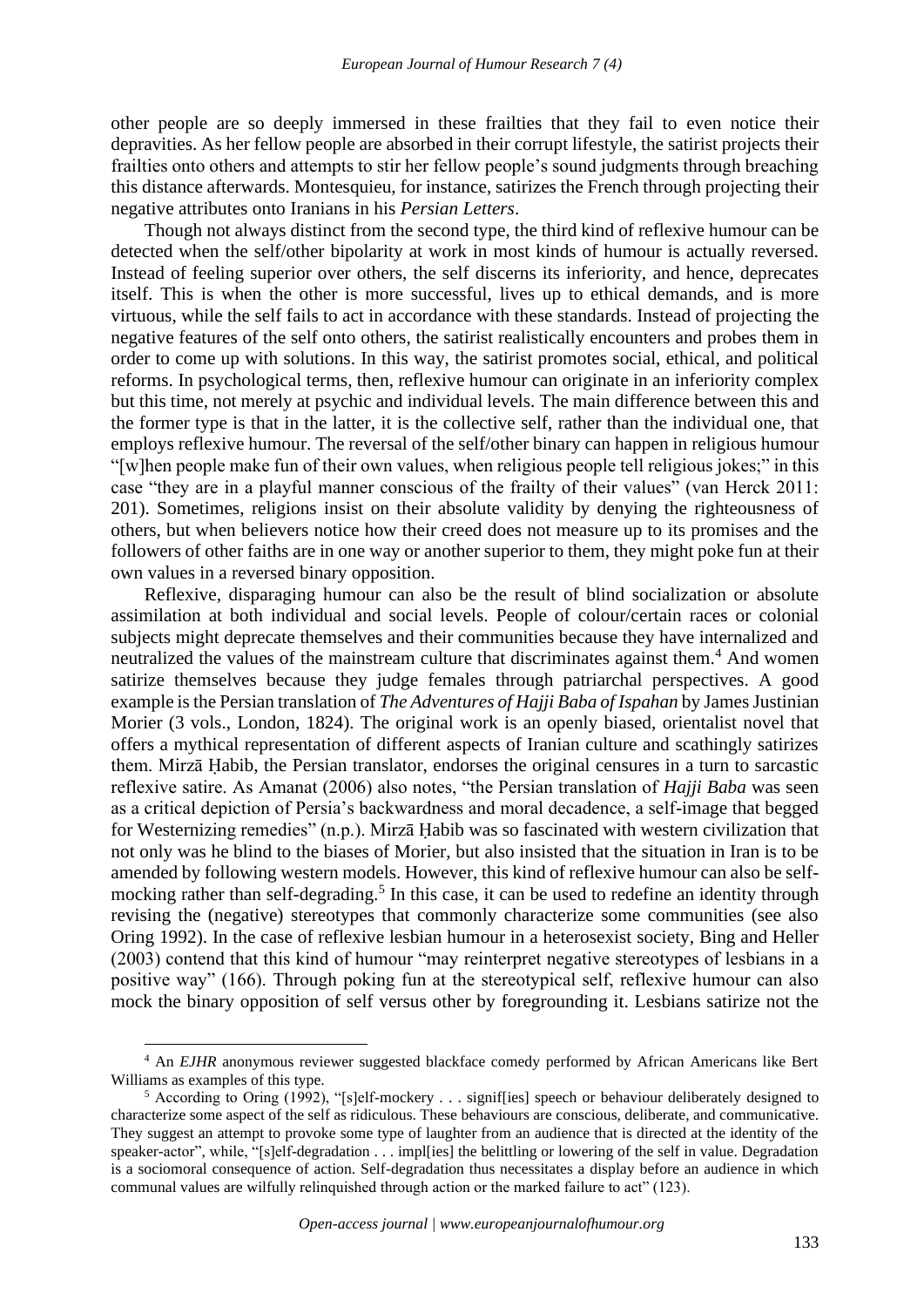other people are so deeply immersed in these frailties that they fail to even notice their depravities. As her fellow people are absorbed in their corrupt lifestyle, the satirist projects their frailties onto others and attempts to stir her fellow people's sound judgments through breaching this distance afterwards. Montesquieu, for instance, satirizes the French through projecting their negative attributes onto Iranians in his *Persian Letters*.

Though not always distinct from the second type, the third kind of reflexive humour can be detected when the self/other bipolarity at work in most kinds of humour is actually reversed. Instead of feeling superior over others, the self discerns its inferiority, and hence, deprecates itself. This is when the other is more successful, lives up to ethical demands, and is more virtuous, while the self fails to act in accordance with these standards. Instead of projecting the negative features of the self onto others, the satirist realistically encounters and probes them in order to come up with solutions. In this way, the satirist promotes social, ethical, and political reforms. In psychological terms, then, reflexive humour can originate in an inferiority complex but this time, not merely at psychic and individual levels. The main difference between this and the former type is that in the latter, it is the collective self, rather than the individual one, that employs reflexive humour. The reversal of the self/other binary can happen in religious humour "[w]hen people make fun of their own values, when religious people tell religious jokes;" in this case "they are in a playful manner conscious of the frailty of their values" (van Herck 2011: 201). Sometimes, religions insist on their absolute validity by denying the righteousness of others, but when believers notice how their creed does not measure up to its promises and the followers of other faiths are in one way or another superior to them, they might poke fun at their own values in a reversed binary opposition.

Reflexive, disparaging humour can also be the result of blind socialization or absolute assimilation at both individual and social levels. People of colour/certain races or colonial subjects might deprecate themselves and their communities because they have internalized and neutralized the values of the mainstream culture that discriminates against them.<sup>4</sup> And women satirize themselves because they judge females through patriarchal perspectives. A good example is the Persian translation of *The Adventures of Hajji Baba of Ispahan* by James Justinian Morier (3 vols., London, 1824). The original work is an openly biased, orientalist novel that offers a mythical representation of different aspects of Iranian culture and scathingly satirizes them. Mirzā Ḥabib, the Persian translator, endorses the original censures in a turn to sarcastic reflexive satire. As Amanat (2006) also notes, "the Persian translation of *Hajji Baba* was seen as a critical depiction of Persia's backwardness and moral decadence, a self-image that begged for Westernizing remedies" (n.p.). Mirzā Ḥabib was so fascinated with western civilization that not only was he blind to the biases of Morier, but also insisted that the situation in Iran is to be amended by following western models. However, this kind of reflexive humour can also be selfmocking rather than self-degrading.<sup>5</sup> In this case, it can be used to redefine an identity through revising the (negative) stereotypes that commonly characterize some communities (see also Oring 1992). In the case of reflexive lesbian humour in a heterosexist society, Bing and Heller (2003) contend that this kind of humour "may reinterpret negative stereotypes of lesbians in a positive way" (166). Through poking fun at the stereotypical self, reflexive humour can also mock the binary opposition of self versus other by foregrounding it. Lesbians satirize not the

<sup>&</sup>lt;sup>4</sup> An *EJHR* anonymous reviewer suggested blackface comedy performed by African Americans like Bert Williams as examples of this type.

<sup>5</sup> According to Oring (1992), "[s]elf-mockery . . . signif[ies] speech or behaviour deliberately designed to characterize some aspect of the self as ridiculous. These behaviours are conscious, deliberate, and communicative. They suggest an attempt to provoke some type of laughter from an audience that is directed at the identity of the speaker-actor", while, "[s]elf-degradation . . . impl[ies] the belittling or lowering of the self in value. Degradation is a sociomoral consequence of action. Self-degradation thus necessitates a display before an audience in which communal values are wilfully relinquished through action or the marked failure to act" (123).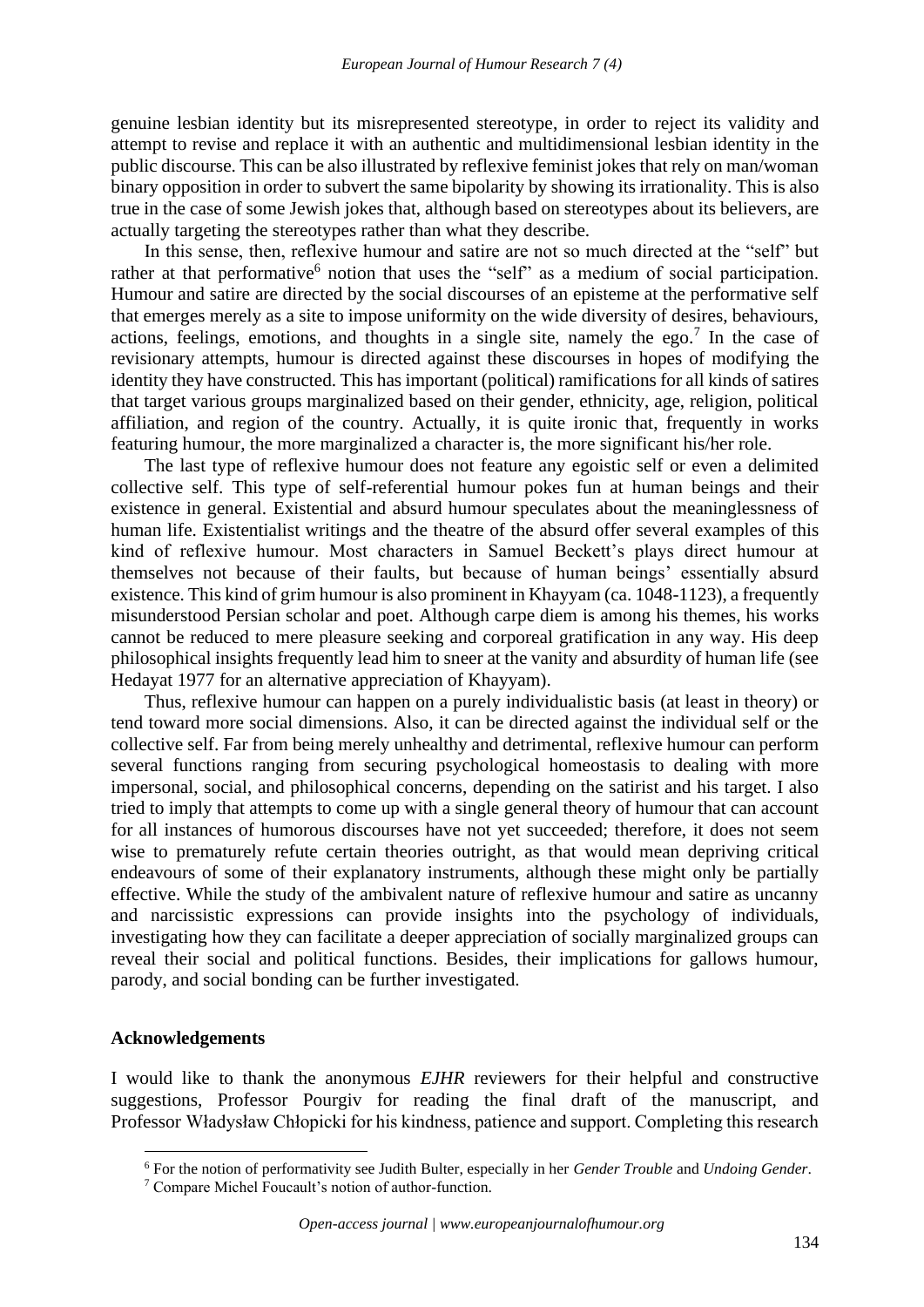genuine lesbian identity but its misrepresented stereotype, in order to reject its validity and attempt to revise and replace it with an authentic and multidimensional lesbian identity in the public discourse. This can be also illustrated by reflexive feminist jokes that rely on man/woman binary opposition in order to subvert the same bipolarity by showing its irrationality. This is also true in the case of some Jewish jokes that, although based on stereotypes about its believers, are actually targeting the stereotypes rather than what they describe.

In this sense, then, reflexive humour and satire are not so much directed at the "self" but rather at that performative<sup>6</sup> notion that uses the "self" as a medium of social participation. Humour and satire are directed by the social discourses of an episteme at the performative self that emerges merely as a site to impose uniformity on the wide diversity of desires, behaviours, actions, feelings, emotions, and thoughts in a single site, namely the ego.<sup>7</sup> In the case of revisionary attempts, humour is directed against these discourses in hopes of modifying the identity they have constructed. This has important (political) ramifications for all kinds of satires that target various groups marginalized based on their gender, ethnicity, age, religion, political affiliation, and region of the country. Actually, it is quite ironic that, frequently in works featuring humour, the more marginalized a character is, the more significant his/her role.

The last type of reflexive humour does not feature any egoistic self or even a delimited collective self. This type of self-referential humour pokes fun at human beings and their existence in general. Existential and absurd humour speculates about the meaninglessness of human life. Existentialist writings and the theatre of the absurd offer several examples of this kind of reflexive humour. Most characters in Samuel Beckett's plays direct humour at themselves not because of their faults, but because of human beings' essentially absurd existence. This kind of grim humour is also prominent in Khayyam (ca. 1048-1123), a frequently misunderstood Persian scholar and poet. Although carpe diem is among his themes, his works cannot be reduced to mere pleasure seeking and corporeal gratification in any way. His deep philosophical insights frequently lead him to sneer at the vanity and absurdity of human life (see Hedayat 1977 for an alternative appreciation of Khayyam).

Thus, reflexive humour can happen on a purely individualistic basis (at least in theory) or tend toward more social dimensions. Also, it can be directed against the individual self or the collective self. Far from being merely unhealthy and detrimental, reflexive humour can perform several functions ranging from securing psychological homeostasis to dealing with more impersonal, social, and philosophical concerns, depending on the satirist and his target. I also tried to imply that attempts to come up with a single general theory of humour that can account for all instances of humorous discourses have not yet succeeded; therefore, it does not seem wise to prematurely refute certain theories outright, as that would mean depriving critical endeavours of some of their explanatory instruments, although these might only be partially effective. While the study of the ambivalent nature of reflexive humour and satire as uncanny and narcissistic expressions can provide insights into the psychology of individuals, investigating how they can facilitate a deeper appreciation of socially marginalized groups can reveal their social and political functions. Besides, their implications for gallows humour, parody, and social bonding can be further investigated.

#### **Acknowledgements**

I would like to thank the anonymous *EJHR* reviewers for their helpful and constructive suggestions, Professor Pourgiv for reading the final draft of the manuscript, and Professor Władysław Chłopicki for his kindness, patience and support. Completing this research

<sup>6</sup> For the notion of performativity see Judith Bulter, especially in her *Gender Trouble* and *Undoing Gender*.

<sup>7</sup> Compare Michel Foucault's notion of author-function.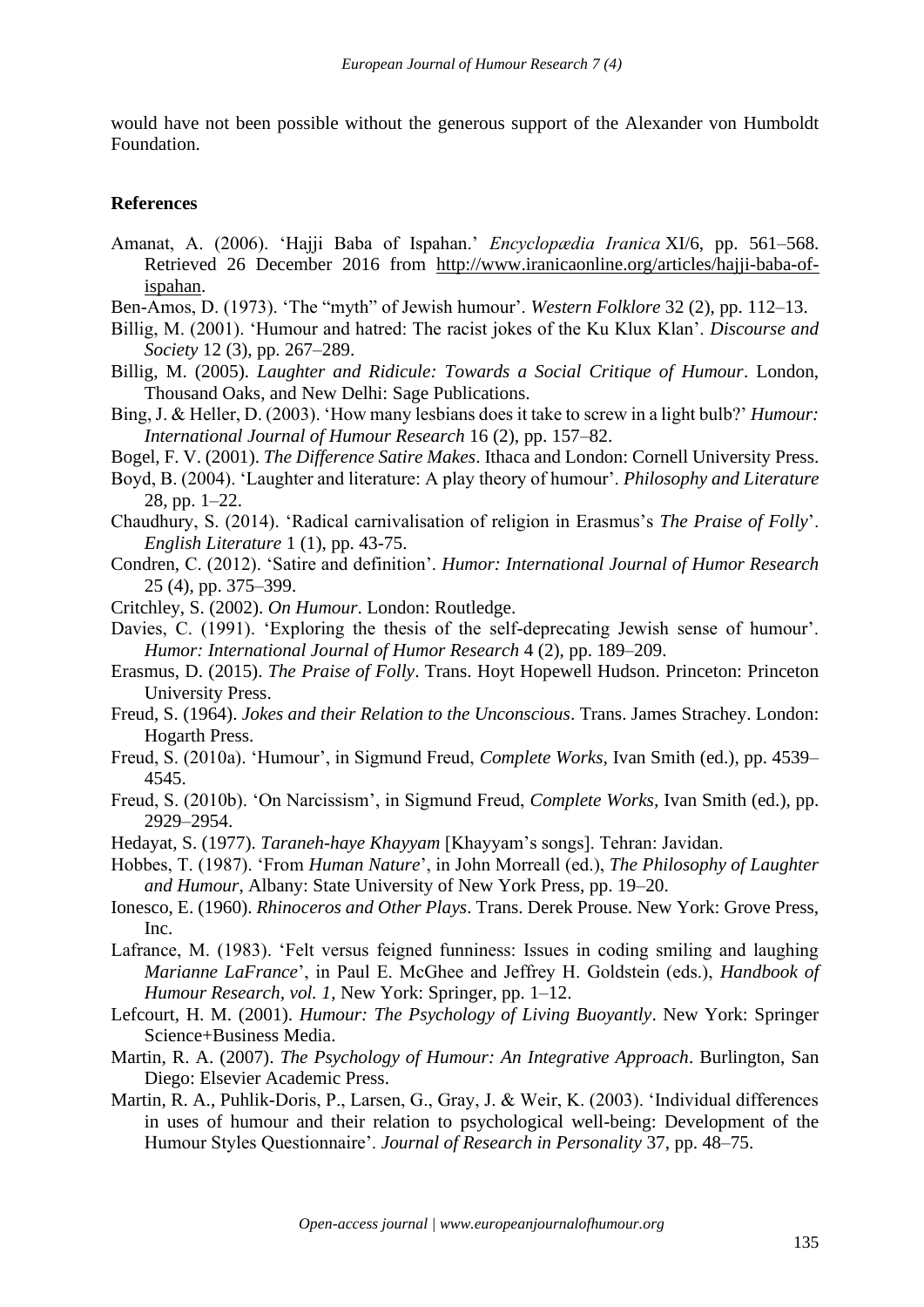would have not been possible without the generous support of the Alexander von Humboldt Foundation.

#### **References**

- Amanat, A. (2006). 'Hajji Baba of Ispahan.' *Encyclopædia Iranica* XI/6, pp. 561–568. Retrieved 26 December 2016 from [http://www.iranicaonline.org/articles/hajji-baba-of](http://www.iranicaonline.org/articles/hajji-baba-of-ispahan)[ispahan.](http://www.iranicaonline.org/articles/hajji-baba-of-ispahan)
- Ben-Amos, D. (1973). 'The "myth" of Jewish humour'. *Western Folklore* 32 (2), pp. 112–13.
- Billig, M. (2001). 'Humour and hatred: The racist jokes of the Ku Klux Klan'. *Discourse and Society* 12 (3), pp. 267–289.
- Billig, M. (2005). *Laughter and Ridicule: Towards a Social Critique of Humour*. London, Thousand Oaks, and New Delhi: Sage Publications.
- Bing, J. & Heller, D. (2003). 'How many lesbians does it take to screw in a light bulb?' *Humour: International Journal of Humour Research* 16 (2), pp. 157–82.
- Bogel, F. V. (2001). *The Difference Satire Makes*. Ithaca and London: Cornell University Press.
- Boyd, B. (2004). 'Laughter and literature: A play theory of humour'. *Philosophy and Literature* 28, pp. 1–22.
- Chaudhury, S. (2014). 'Radical carnivalisation of religion in Erasmus's *The Praise of Folly*'. *English Literature* 1 (1), pp. 43-75.
- Condren, C. (2012). 'Satire and definition'. *Humor: International Journal of Humor Research* 25 (4), pp. 375–399.
- Critchley, S. (2002). *On Humour*. London: Routledge.
- Davies, C. (1991). 'Exploring the thesis of the self-deprecating Jewish sense of humour'. *Humor: International Journal of Humor Research* 4 (2), pp. 189–209.
- Erasmus, D. (2015). *The Praise of Folly*. Trans. Hoyt Hopewell Hudson. Princeton: Princeton University Press.
- Freud, S. (1964). *Jokes and their Relation to the Unconscious*. Trans. James Strachey. London: Hogarth Press.
- Freud, S. (2010a). 'Humour', in Sigmund Freud, *Complete Works,* Ivan Smith (ed.), pp. 4539– 4545.
- Freud, S. (2010b). 'On Narcissism', in Sigmund Freud, *Complete Works,* Ivan Smith (ed.), pp. 2929–2954.
- Hedayat, S. (1977). *Taraneh-haye Khayyam* [Khayyam's songs]. Tehran: Javidan.
- Hobbes, T. (1987). 'From *Human Nature*', in John Morreall (ed.), *The Philosophy of Laughter and Humour*, Albany: State University of New York Press, pp. 19–20.
- Ionesco, E. (1960). *Rhinoceros and Other Plays*. Trans. Derek Prouse. New York: Grove Press, Inc.
- Lafrance, M. (1983). 'Felt versus feigned funniness: Issues in coding smiling and laughing *Marianne LaFrance*', in Paul E. McGhee and Jeffrey H. Goldstein (eds.), *Handbook of Humour Research, vol. 1*, New York: Springer, pp. 1–12.
- Lefcourt, H. M. (2001). *Humour: The Psychology of Living Buoyantly*. New York: Springer Science+Business Media.
- Martin, R. A. (2007). *The Psychology of Humour: An Integrative Approach*. Burlington, San Diego: Elsevier Academic Press.
- Martin, R. A., Puhlik-Doris, P., Larsen, G., Gray, J. & Weir, K. (2003). 'Individual differences in uses of humour and their relation to psychological well-being: Development of the Humour Styles Questionnaire'. *Journal of Research in Personality* 37, pp. 48–75.